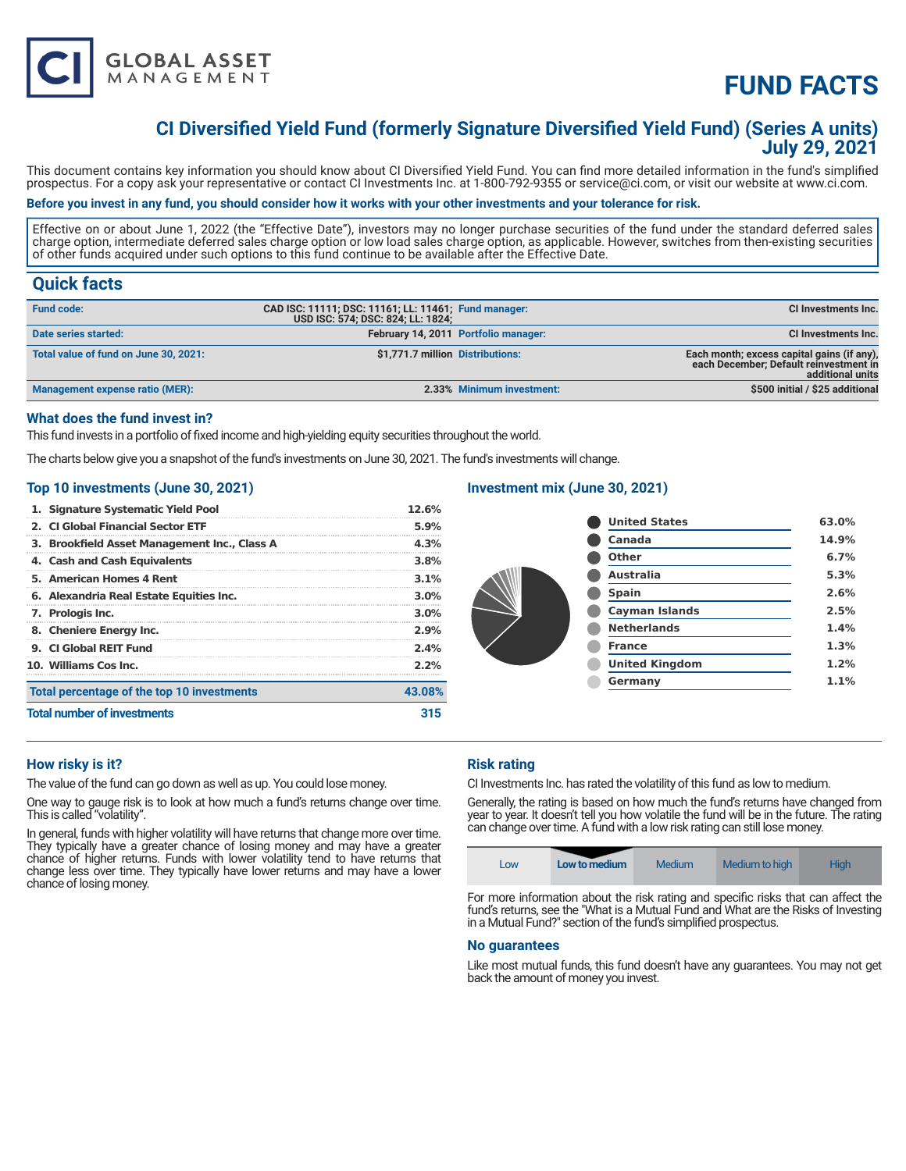

# **FUND FACTS**

# **CI Diversified Yield Fund (formerly Signature Diversified Yield Fund) (Series A units) July 29, 2021**

This document contains key information you should know about CI Diversified Yield Fund. You can find more detailed information in the fund's simplified prospectus. For a copy ask your representative or contact CI Investments Inc. at 1-800-792-9355 or service@ci.com, or visit our website at www.ci.com.

### **Before you invest in any fund, you should consider how it works with your other investments and your tolerance for risk.**

Effective on or about June 1, 2022 (the "Effective Date"), investors may no longer purchase securities of the fund under the standard deferred sales charge option, intermediate deferred sales charge option or low load sales charge option, as applicable. However, switches from then-existing securities of other funds acquired under such options to this fund continue to be available after the Effective Date.

## **Quick facts**

| <b>Fund code:</b>                     | CAD ISC: 11111; DSC: 11161; LL: 11461; Fund manager:<br>USD ISC: 574; DSC: 824; LL: 1824; |                                      | CI Investments Inc.                                                                                      |
|---------------------------------------|-------------------------------------------------------------------------------------------|--------------------------------------|----------------------------------------------------------------------------------------------------------|
| Date series started:                  |                                                                                           | February 14, 2011 Portfolio manager: | <b>CI Investments Inc.</b>                                                                               |
| Total value of fund on June 30, 2021: | \$1,771.7 million Distributions:                                                          |                                      | Each month; excess capital gains (if any).<br>each December; Default reinvestment in<br>additional units |
| Management expense ratio (MER):       |                                                                                           | 2.33% Minimum investment:            | \$500 initial / \$25 additional                                                                          |

### **What does the fund invest in?**

This fund invests in a portfolio of fixed income and high-yielding equity securities throughout the world.

The charts below give you a snapshot of the fund's investments on June 30, 2021. The fund's investments will change.

#### **Top 10 investments (June 30, 2021)**

| 1. Signature Systematic Yield Pool           | 12.6%   |  |
|----------------------------------------------|---------|--|
| 2. CLGlobal Financial Sector ETF             | 5.9%    |  |
| 3. Brookfield Asset Management Inc., Class A | 4.3%    |  |
| 4. Cash and Cash Equivalents                 | 3.8%    |  |
| 5. American Homes 4 Rent                     | 3.1%    |  |
| 6. Alexandria Real Estate Equities Inc.      | $3.0\%$ |  |
| 7. Prologis Inc.                             | $3.0\%$ |  |
| 8. Cheniere Energy Inc.                      | 2.9%    |  |
| 9. CL Global REIT Fund                       | 2.4%    |  |
| 10. Williams Cos Inc.                        | 2.2%    |  |
| Total percentage of the top 10 investments   | 43.08%  |  |
| <b>Total number of investments</b>           | 315     |  |

### **Investment mix (June 30, 2021)**

| <b>United States</b>  | 63.0% |
|-----------------------|-------|
| Canada                | 14.9% |
| Other                 | 6.7%  |
| <b>Australia</b>      | 5.3%  |
| <b>Spain</b>          | 2.6%  |
| <b>Cayman Islands</b> | 2.5%  |
| <b>Netherlands</b>    | 1.4%  |
| <b>France</b>         | 1.3%  |
| <b>United Kingdom</b> | 1.2%  |
| Germany               | 1.1%  |
|                       |       |

#### **How risky is it?**

The value of the fund can go down as well as up. You could lose money.

One way to gauge risk is to look at how much a fund's returns change over time. This is called "volatility".

In general, funds with higher volatility will have returns that change more over time. They typically have a greater chance of losing money and may have a greater chance of higher returns. Funds with lower volatility tend to have returns that change less over time. They typically have lower returns and may have a lower chance of losing money.

#### **Risk rating**

CI Investments Inc. has rated the volatility of this fund as low to medium.

Generally, the rating is based on how much the fund's returns have changed from year to year. It doesn't tell you how volatile the fund will be in the future. The rating can change over time. A fund with a low risk rating can still lose money.

| LOW | Low to medium | Medium | Medium to high | High |
|-----|---------------|--------|----------------|------|
|-----|---------------|--------|----------------|------|

For more information about the risk rating and specific risks that can affect the fund's returns, see the "What is a Mutual Fund and What are the Risks of Investing in a Mutual Fund?" section of the fund's simplified prospectus.

#### **No guarantees**

Like most mutual funds, this fund doesn't have any guarantees. You may not get back the amount of money you invest.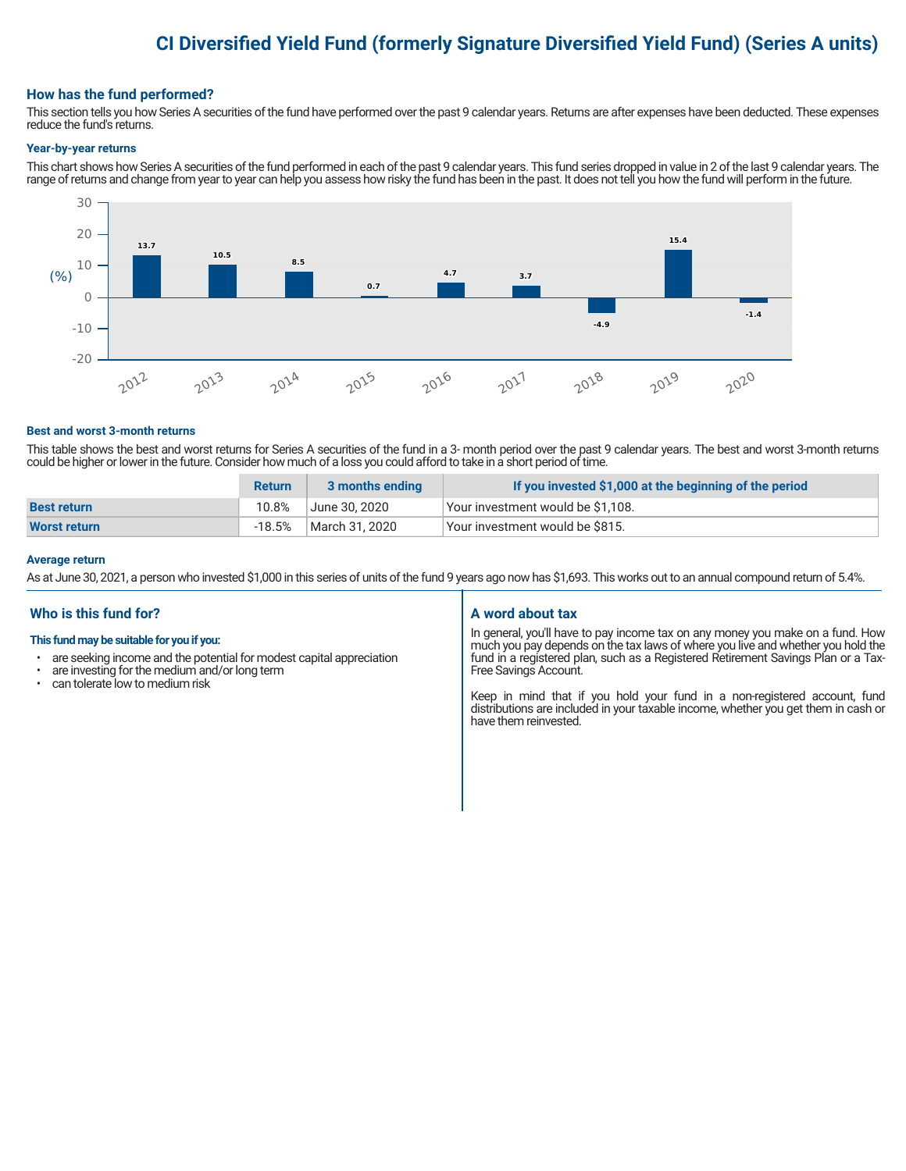# **CI Diversified Yield Fund (formerly Signature Diversified Yield Fund) (Series A units)**

#### **How has the fund performed?**

This section tells you how Series A securities of the fund have performed over the past 9 calendar years. Returns are after expenses have been deducted. These expenses reduce the fund's returns.

#### **Year-by-year returns**

This chart shows how Series A securities of the fund performed in each of the past 9 calendar years. This fund series dropped in value in 2 of the last 9 calendar years. The range of returns and change from year to year can help you assess how risky the fund has been in the past. It does not tell you how the fund will perform in the future.



#### **Best and worst 3-month returns**

This table shows the best and worst returns for Series A securities of the fund in a 3- month period over the past 9 calendar years. The best and worst 3-month returns could be higher or lower in the future. Consider how much of a loss you could afford to take in a short period of time.

|                     | <b>Return</b> | 3 months ending | If you invested \$1,000 at the beginning of the period |
|---------------------|---------------|-----------------|--------------------------------------------------------|
| <b>Best return</b>  | 10.8%         | June 30. 2020   | Vour investment would be \$1,108.                      |
| <b>Worst return</b> | $-18.5%$      | March 31. 2020  | Vour investment would be \$815.                        |

#### **Average return**

As at June 30, 2021, a person who invested \$1,000 in this series of units of the fund 9 years ago now has \$1,693. This works out to an annual compound return of 5.4%.

### **Who is this fund for?**

#### **This fund may be suitable for you if you:**

- are seeking income and the potential for modest capital appreciation
- $\cdot$  are investing for the medium and/or long term  $\cdot$  can telerate low to medium risk
- can tolerate low to medium risk

#### **A word about tax**

In general, you'll have to pay income tax on any money you make on a fund. How much you pay depends on the tax laws of where you live and whether you hold the fund in a registered plan, such as a Registered Retirement Savings Plan or a Tax-Free Savings Account.

Keep in mind that if you hold your fund in a non-registered account, fund distributions are included in your taxable income, whether you get them in cash or have them reinvested.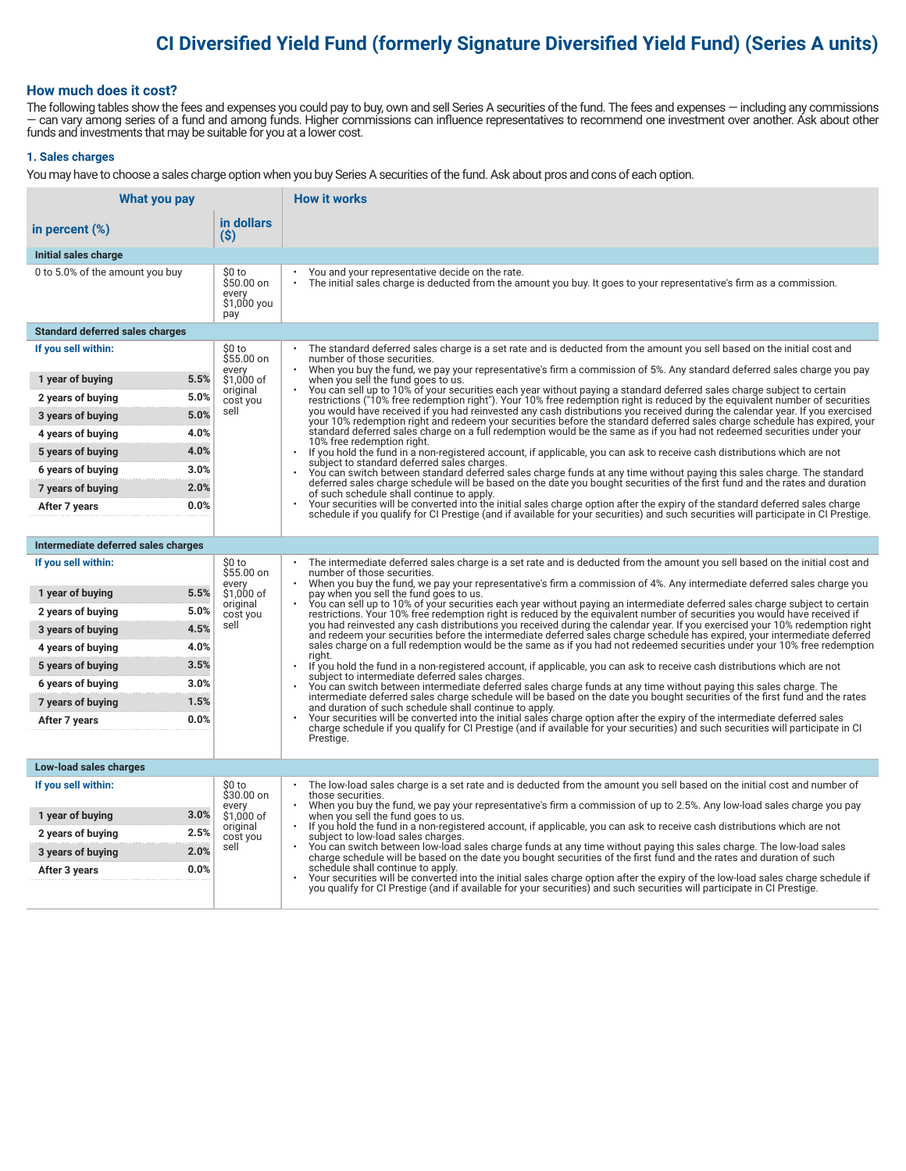# **CI Diversified Yield Fund (formerly Signature Diversified Yield Fund) (Series A units)**

#### **How much does it cost?**

The following tables show the fees and expenses you could pay to buy, own and sell Series A securities of the fund. The fees and expenses — including any commissions — can vary among series of a fund and among funds. Higher commissions can influence representatives to recommend one investment over another. Ask about other funds and investments that may be suitable for you at a lower cost.

#### **1. Sales charges**

You may have to choose a sales charge option when you buy Series A securities of the fund. Ask about pros and cons of each option.

| What you pay                                   |                                                     | <b>How it works</b>                                                                                                                                                                                                                                                                   |
|------------------------------------------------|-----------------------------------------------------|---------------------------------------------------------------------------------------------------------------------------------------------------------------------------------------------------------------------------------------------------------------------------------------|
| in percent (%)                                 | in dollars<br>(S)                                   |                                                                                                                                                                                                                                                                                       |
| Initial sales charge                           |                                                     |                                                                                                                                                                                                                                                                                       |
| 0 to 5.0% of the amount you buy                | \$0 to<br>\$50.00 on<br>every<br>\$1,000 you<br>pay | You and your representative decide on the rate.<br>The initial sales charge is deducted from the amount you buy. It goes to your representative's firm as a commission.<br>$\bullet$                                                                                                  |
| <b>Standard deferred sales charges</b>         |                                                     |                                                                                                                                                                                                                                                                                       |
| If you sell within:                            | \$0 to<br>\$55.00 on                                | The standard deferred sales charge is a set rate and is deducted from the amount you sell based on the initial cost and<br>number of those securities.                                                                                                                                |
| 5.5%<br>1 year of buying                       | every<br>\$1,000 of                                 | When you buy the fund, we pay your representative's firm a commission of 5%. Any standard deferred sales charge you pay<br>when you sell the fund goes to us.                                                                                                                         |
| 5.0%<br>2 years of buying                      | original<br>cost you                                | You can sell up to 10% of your securities each year without paying a standard deferred sales charge subject to certain<br>restrictions ("10% free redemption right"). Your 10% free redemption right is reduced by the equivalent number of securities                                |
| 5.0%<br>3 years of buying                      | sell                                                | you would have received if you had reinvested any cash distributions you received during the calendar year. If you exercised<br>your 10% redemption right and redeem your securities before the standard deferred sales charge schedule has expired, your                             |
| 4.0%<br>4 years of buying                      |                                                     | standard deferred sales charge on a full redemption would be the same as if you had not redeemed securities under your<br>10% free redemption right.                                                                                                                                  |
| 4.0%<br>5 years of buying                      |                                                     | $\ddot{\phantom{0}}$<br>If you hold the fund in a non-registered account, if applicable, you can ask to receive cash distributions which are not<br>subject to standard deferred sales charges.                                                                                       |
| 3.0%<br>6 years of buying                      |                                                     | You can switch between standard deferred sales charge funds at any time without paying this sales charge. The standard                                                                                                                                                                |
| 2.0%<br>7 years of buying                      |                                                     | deferred sales charge schedule will be based on the date you bought securities of the first fund and the rates and duration<br>of such schedule shall continue to apply.                                                                                                              |
| 0.0%<br>After 7 years                          |                                                     | Your securities will be converted into the initial sales charge option after the expiry of the standard deferred sales charge<br>schedule if you qualify for CI Prestige (and if available for your securities) and such securities will participate in CI Prestige.                  |
|                                                |                                                     |                                                                                                                                                                                                                                                                                       |
| Intermediate deferred sales charges            |                                                     |                                                                                                                                                                                                                                                                                       |
| If you sell within:                            | \$0 to<br>\$55.00 on<br>every                       | The intermediate deferred sales charge is a set rate and is deducted from the amount you sell based on the initial cost and<br>number of those securities.<br>When you buy the fund, we pay your representative's firm a commission of 4%. Any intermediate deferred sales charge you |
| 5.5%<br>1 year of buying                       | \$1,000 of<br>original                              | pay when you sell the fund goes to us.<br>You can sell up to 10% of your securities each year without paying an intermediate deferred sales charge subject to certain                                                                                                                 |
| 5.0%<br>2 years of buying                      | cost you<br>sell                                    | restrictions. Your 10% free redemption right is reduced by the equivalent number of securities you would have received if<br>you had reinvested any cash distributions you received during the calendar year. If you exercised your 10% redemption right                              |
| 4.5%<br>3 years of buying                      |                                                     | and redeem your securities before the intermediate deferred sales charge schedule has expired, your intermediate deferred                                                                                                                                                             |
| 4.0%<br>4 years of buying                      |                                                     | sales charge on a full redemption would be the same as if you had not redeemed securities under your 10% free redemption<br>riaht.                                                                                                                                                    |
| 3.5%<br>5 years of buying<br>3.0%              |                                                     | $\bullet$<br>If you hold the fund in a non-registered account, if applicable, you can ask to receive cash distributions which are not<br>subject to intermediate deferred sales charges.                                                                                              |
| 6 years of buying<br>1.5%<br>7 years of buying |                                                     | You can switch between intermediate deferred sales charge funds at any time without paying this sales charge. The<br>intermediate deferred sales charge schedule will be based on the date you bought securities of the first fund and the rates                                      |
| 0.0%<br>After 7 years                          |                                                     | and duration of such schedule shall continue to apply.<br>Your securities will be converted into the initial sales charge option after the expiry of the intermediate deferred sales                                                                                                  |
|                                                |                                                     | charge schedule if you qualify for CI Prestige (and if available for your securities) and such securities will participate in CI<br>Prestige.                                                                                                                                         |
|                                                |                                                     |                                                                                                                                                                                                                                                                                       |
| Low-load sales charges                         |                                                     |                                                                                                                                                                                                                                                                                       |
| If you sell within:                            | \$0 to<br>\$30.00 on                                | The low-load sales charge is a set rate and is deducted from the amount you sell based on the initial cost and number of<br>those securities.                                                                                                                                         |
| 3.0%<br>1 year of buying                       | every<br>\$1,000 of                                 | When you buy the fund, we pay your representative's firm a commission of up to 2.5%. Any low-load sales charge you pay<br>when you sell the fund goes to us.                                                                                                                          |
| 2.5%<br>2 years of buying                      | original<br>cost you                                | If you hold the fund in a non-registered account, if applicable, you can ask to receive cash distributions which are not<br>subject to low-load sales charges.                                                                                                                        |
| 2.0%<br>3 years of buying                      | sell                                                | You can switch between low-load sales charge funds at any time without paying this sales charge. The low-load sales<br>charge schedule will be based on the date you bought securities of the first fund and the rates and duration of such                                           |
| 0.0%<br>After 3 years                          |                                                     | schedule shall continue to apply.<br>Your securities will be converted into the initial sales charge option after the expiry of the low-load sales charge schedule if                                                                                                                 |
|                                                |                                                     | you qualify for CI Prestige (and if available for your securities) and such securities will participate in CI Prestige.                                                                                                                                                               |